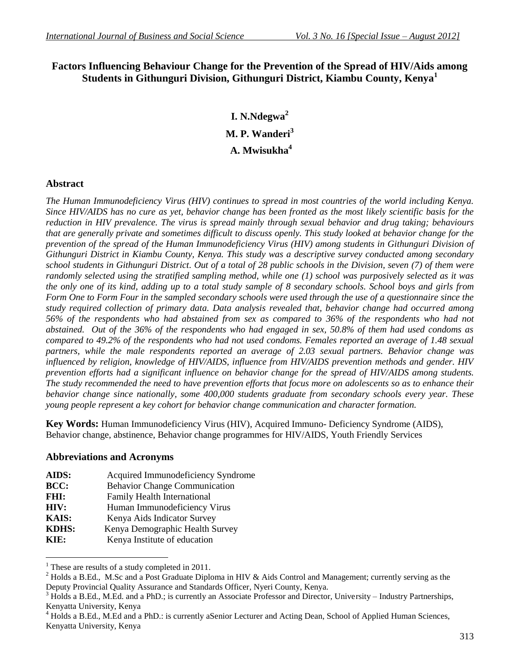# **Factors Influencing Behaviour Change for the Prevention of the Spread of HIV/Aids among Students in Githunguri Division, Githunguri District, Kiambu County, Kenya<sup>1</sup>**

**I. N.Ndegwa<sup>2</sup> M. P. Wanderi<sup>3</sup> A. Mwisukha<sup>4</sup>**

## **Abstract**

*The Human Immunodeficiency Virus (HIV) continues to spread in most countries of the world including Kenya. Since HIV/AIDS has no cure as yet, behavior change has been fronted as the most likely scientific basis for the reduction in HIV prevalence. The virus is spread mainly through sexual behavior and drug taking; behaviours that are generally private and sometimes difficult to discuss openly. This study looked at behavior change for the prevention of the spread of the Human Immunodeficiency Virus (HIV) among students in Githunguri Division of Githunguri District in Kiambu County, Kenya. This study was a descriptive survey conducted among secondary school students in Githunguri District. Out of a total of 28 public schools in the Division, seven (7) of them were randomly selected using the stratified sampling method, while one (1) school was purposively selected as it was the only one of its kind, adding up to a total study sample of 8 secondary schools. School boys and girls from Form One to Form Four in the sampled secondary schools were used through the use of a questionnaire since the study required collection of primary data. Data analysis revealed that, behavior change had occurred among 56% of the respondents who had abstained from sex as compared to 36% of the respondents who had not abstained. Out of the 36% of the respondents who had engaged in sex, 50.8% of them had used condoms as compared to 49.2% of the respondents who had not used condoms. Females reported an average of 1.48 sexual partners, while the male respondents reported an average of 2.03 sexual partners. Behavior change was influenced by religion, knowledge of HIV/AIDS, influence from HIV/AIDS prevention methods and gender. HIV prevention efforts had a significant influence on behavior change for the spread of HIV/AIDS among students. The study recommended the need to have prevention efforts that focus more on adolescents so as to enhance their behavior change since nationally, some 400,000 students graduate from secondary schools every year. These young people represent a key cohort for behavior change communication and character formation.*

**Key Words:** Human Immunodeficiency Virus (HIV), Acquired Immuno- Deficiency Syndrome (AIDS), Behavior change, abstinence, Behavior change programmes for HIV/AIDS, Youth Friendly Services

## **Abbreviations and Acronyms**

 $\overline{a}$ 

| AIDS:        | Acquired Immunodeficiency Syndrome   |
|--------------|--------------------------------------|
| BCC:         | <b>Behavior Change Communication</b> |
| FHI:         | <b>Family Health International</b>   |
| HIV:         | Human Immunodeficiency Virus         |
| KAIS:        | Kenya Aids Indicator Survey          |
| <b>KDHS:</b> | Kenya Demographic Health Survey      |
| KIE:         | Kenya Institute of education         |
|              |                                      |

 $<sup>1</sup>$  These are results of a study completed in 2011.</sup>

 $2$  Holds a B.Ed., M.Sc and a Post Graduate Diploma in HIV & Aids Control and Management; currently serving as the Deputy Provincial Quality Assurance and Standards Officer, Nyeri County, Kenya.

<sup>3</sup> Holds a B.Ed., M.Ed. and a PhD.; is currently an Associate Professor and Director, University – Industry Partnerships, Kenyatta University, Kenya

<sup>&</sup>lt;sup>4</sup> Holds a B.Ed., M.Ed and a PhD.: is currently aSenior Lecturer and Acting Dean, School of Applied Human Sciences, Kenyatta University, Kenya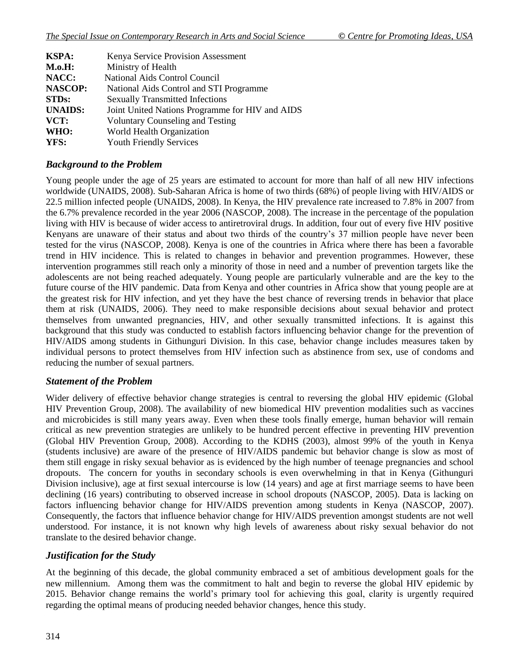| <b>KSPA:</b>       | Kenya Service Provision Assessment              |
|--------------------|-------------------------------------------------|
| M.o.H:             | Ministry of Health                              |
| NACC:              | National Aids Control Council                   |
| <b>NASCOP:</b>     | National Aids Control and STI Programme         |
| STD <sub>s</sub> : | <b>Sexually Transmitted Infections</b>          |
| <b>UNAIDS:</b>     | Joint United Nations Programme for HIV and AIDS |
| VCT:               | <b>Voluntary Counseling and Testing</b>         |
| WHO:               | World Health Organization                       |
| YFS:               | <b>Youth Friendly Services</b>                  |
|                    |                                                 |

## *Background to the Problem*

Young people under the age of 25 years are estimated to account for more than half of all new HIV infections worldwide (UNAIDS, 2008). Sub-Saharan Africa is home of two thirds (68%) of people living with HIV/AIDS or 22.5 million infected people (UNAIDS, 2008). In Kenya, the HIV prevalence rate increased to 7.8% in 2007 from the 6.7% prevalence recorded in the year 2006 (NASCOP, 2008). The increase in the percentage of the population living with HIV is because of wider access to antiretroviral drugs. In addition, four out of every five HIV positive Kenyans are unaware of their status and about two thirds of the country's 37 million people have never been tested for the virus (NASCOP, 2008). Kenya is one of the countries in Africa where there has been a favorable trend in HIV incidence. This is related to changes in behavior and prevention programmes. However, these intervention programmes still reach only a minority of those in need and a number of prevention targets like the adolescents are not being reached adequately. Young people are particularly vulnerable and are the key to the future course of the HIV pandemic. Data from Kenya and other countries in Africa show that young people are at the greatest risk for HIV infection, and yet they have the best chance of reversing trends in behavior that place them at risk (UNAIDS, 2006). They need to make responsible decisions about sexual behavior and protect themselves from unwanted pregnancies, HIV, and other sexually transmitted infections. It is against this background that this study was conducted to establish factors influencing behavior change for the prevention of HIV/AIDS among students in Githunguri Division. In this case, behavior change includes measures taken by individual persons to protect themselves from HIV infection such as abstinence from sex, use of condoms and reducing the number of sexual partners.

## *Statement of the Problem*

Wider delivery of effective behavior change strategies is central to reversing the global HIV epidemic (Global HIV Prevention Group, 2008). The availability of new biomedical HIV prevention modalities such as vaccines and microbicides is still many years away. Even when these tools finally emerge, human behavior will remain critical as new prevention strategies are unlikely to be hundred percent effective in preventing HIV prevention (Global HIV Prevention Group, 2008). According to the KDHS (2003), almost 99% of the youth in Kenya (students inclusive) are aware of the presence of HIV/AIDS pandemic but behavior change is slow as most of them still engage in risky sexual behavior as is evidenced by the high number of teenage pregnancies and school dropouts. The concern for youths in secondary schools is even overwhelming in that in Kenya (Githunguri Division inclusive), age at first sexual intercourse is low (14 years) and age at first marriage seems to have been declining (16 years) contributing to observed increase in school dropouts (NASCOP, 2005). Data is lacking on factors influencing behavior change for HIV/AIDS prevention among students in Kenya (NASCOP, 2007). Consequently, the factors that influence behavior change for HIV/AIDS prevention amongst students are not well understood. For instance, it is not known why high levels of awareness about risky sexual behavior do not translate to the desired behavior change.

## *Justification for the Study*

At the beginning of this decade, the global community embraced a set of ambitious development goals for the new millennium. Among them was the commitment to halt and begin to reverse the global HIV epidemic by 2015. Behavior change remains the world's primary tool for achieving this goal, clarity is urgently required regarding the optimal means of producing needed behavior changes, hence this study.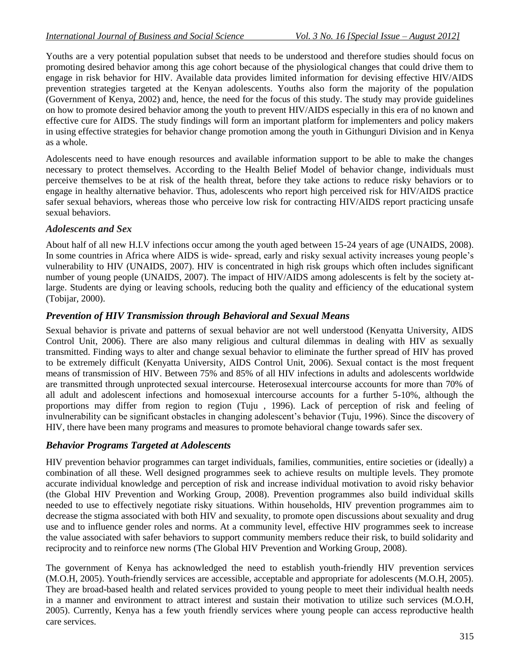Youths are a very potential population subset that needs to be understood and therefore studies should focus on promoting desired behavior among this age cohort because of the physiological changes that could drive them to engage in risk behavior for HIV. Available data provides limited information for devising effective HIV/AIDS prevention strategies targeted at the Kenyan adolescents. Youths also form the majority of the population (Government of Kenya, 2002) and, hence, the need for the focus of this study. The study may provide guidelines on how to promote desired behavior among the youth to prevent HIV/AIDS especially in this era of no known and effective cure for AIDS. The study findings will form an important platform for implementers and policy makers in using effective strategies for behavior change promotion among the youth in Githunguri Division and in Kenya as a whole.

Adolescents need to have enough resources and available information support to be able to make the changes necessary to protect themselves. According to the Health Belief Model of behavior change, individuals must perceive themselves to be at risk of the health threat, before they take actions to reduce risky behaviors or to engage in healthy alternative behavior. Thus, adolescents who report high perceived risk for HIV/AIDS practice safer sexual behaviors, whereas those who perceive low risk for contracting HIV/AIDS report practicing unsafe sexual behaviors.

## *Adolescents and Sex*

About half of all new H.I.V infections occur among the youth aged between 15-24 years of age (UNAIDS, 2008). In some countries in Africa where AIDS is wide- spread, early and risky sexual activity increases young people's vulnerability to HIV (UNAIDS, 2007). HIV is concentrated in high risk groups which often includes significant number of young people (UNAIDS, 2007). The impact of HIV/AIDS among adolescents is felt by the society atlarge. Students are dying or leaving schools, reducing both the quality and efficiency of the educational system (Tobijar, 2000).

## *Prevention of HIV Transmission through Behavioral and Sexual Means*

Sexual behavior is private and patterns of sexual behavior are not well understood (Kenyatta University, AIDS Control Unit, 2006). There are also many religious and cultural dilemmas in dealing with HIV as sexually transmitted. Finding ways to alter and change sexual behavior to eliminate the further spread of HIV has proved to be extremely difficult (Kenyatta University, AIDS Control Unit, 2006). Sexual contact is the most frequent means of transmission of HIV. Between 75% and 85% of all HIV infections in adults and adolescents worldwide are transmitted through unprotected sexual intercourse. Heterosexual intercourse accounts for more than 70% of all adult and adolescent infections and homosexual intercourse accounts for a further 5-10%, although the proportions may differ from region to region (Tuju , 1996). Lack of perception of risk and feeling of invulnerability can be significant obstacles in changing adolescent's behavior (Tuju, 1996). Since the discovery of HIV, there have been many programs and measures to promote behavioral change towards safer sex.

## *Behavior Programs Targeted at Adolescents*

HIV prevention behavior programmes can target individuals, families, communities, entire societies or (ideally) a combination of all these. Well designed programmes seek to achieve results on multiple levels. They promote accurate individual knowledge and perception of risk and increase individual motivation to avoid risky behavior (the Global HIV Prevention and Working Group, 2008). Prevention programmes also build individual skills needed to use to effectively negotiate risky situations. Within households, HIV prevention programmes aim to decrease the stigma associated with both HIV and sexuality, to promote open discussions about sexuality and drug use and to influence gender roles and norms. At a community level, effective HIV programmes seek to increase the value associated with safer behaviors to support community members reduce their risk, to build solidarity and reciprocity and to reinforce new norms (The Global HIV Prevention and Working Group, 2008).

The government of Kenya has acknowledged the need to establish youth-friendly HIV prevention services (M.O.H, 2005). Youth-friendly services are accessible, acceptable and appropriate for adolescents (M.O.H, 2005). They are broad-based health and related services provided to young people to meet their individual health needs in a manner and environment to attract interest and sustain their motivation to utilize such services (M.O.H, 2005). Currently, Kenya has a few youth friendly services where young people can access reproductive health care services.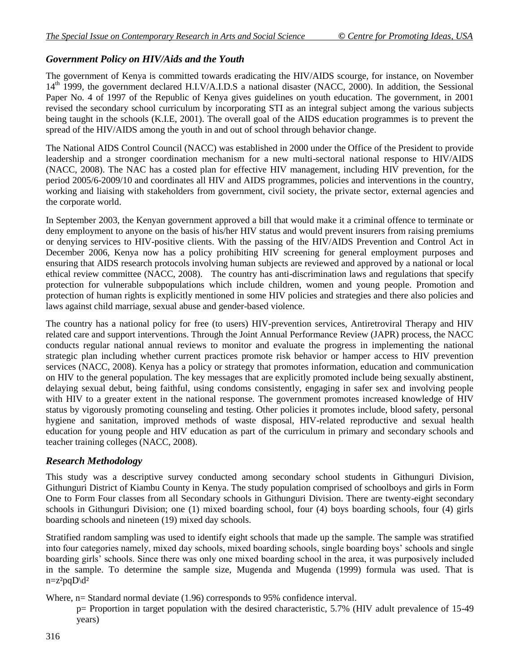## *Government Policy on HIV/Aids and the Youth*

The government of Kenya is committed towards eradicating the HIV/AIDS scourge, for instance, on November 14<sup>th</sup> 1999, the government declared H.I.V/A.I.D.S a national disaster (NACC, 2000). In addition, the Sessional Paper No. 4 of 1997 of the Republic of Kenya gives guidelines on youth education. The government, in 2001 revised the secondary school curriculum by incorporating STI as an integral subject among the various subjects being taught in the schools (K.I.E, 2001). The overall goal of the AIDS education programmes is to prevent the spread of the HIV/AIDS among the youth in and out of school through behavior change.

The National AIDS Control Council (NACC) was established in 2000 under the Office of the President to provide leadership and a stronger coordination mechanism for a new multi-sectoral national response to HIV/AIDS (NACC, 2008). The NAC has a costed plan for effective HIV management, including HIV prevention, for the period 2005/6-2009/10 and coordinates all HIV and AIDS programmes, policies and interventions in the country, working and liaising with stakeholders from government, civil society, the private sector, external agencies and the corporate world.

In September 2003, the Kenyan government approved a bill that would make it a criminal offence to terminate or deny employment to anyone on the basis of his/her HIV status and would prevent insurers from raising premiums or denying services to HIV-positive clients. With the passing of the HIV/AIDS Prevention and Control Act in December 2006, Kenya now has a policy prohibiting HIV screening for general employment purposes and ensuring that AIDS research protocols involving human subjects are reviewed and approved by a national or local ethical review committee (NACC, 2008). The country has anti-discrimination laws and regulations that specify protection for vulnerable subpopulations which include children, women and young people. Promotion and protection of human rights is explicitly mentioned in some HIV policies and strategies and there also policies and laws against child marriage, sexual abuse and gender-based violence.

The country has a national policy for free (to users) HIV-prevention services, Antiretroviral Therapy and HIV related care and support interventions. Through the Joint Annual Performance Review (JAPR) process, the NACC conducts regular national annual reviews to monitor and evaluate the progress in implementing the national strategic plan including whether current practices promote risk behavior or hamper access to HIV prevention services (NACC, 2008). Kenya has a policy or strategy that promotes information, education and communication on HIV to the general population. The key messages that are explicitly promoted include being sexually abstinent, delaying sexual debut, being faithful, using condoms consistently, engaging in safer sex and involving people with HIV to a greater extent in the national response. The government promotes increased knowledge of HIV status by vigorously promoting counseling and testing. Other policies it promotes include, blood safety, personal hygiene and sanitation, improved methods of waste disposal, HIV-related reproductive and sexual health education for young people and HIV education as part of the curriculum in primary and secondary schools and teacher training colleges (NACC, 2008).

## *Research Methodology*

This study was a descriptive survey conducted among secondary school students in Githunguri Division, Githunguri District of Kiambu County in Kenya. The study population comprised of schoolboys and girls in Form One to Form Four classes from all Secondary schools in Githunguri Division. There are twenty-eight secondary schools in Githunguri Division; one (1) mixed boarding school, four (4) boys boarding schools, four (4) girls boarding schools and nineteen (19) mixed day schools.

Stratified random sampling was used to identify eight schools that made up the sample. The sample was stratified into four categories namely, mixed day schools, mixed boarding schools, single boarding boys' schools and single boarding girls' schools. Since there was only one mixed boarding school in the area, it was purposively included in the sample. To determine the sample size, Mugenda and Mugenda (1999) formula was used. That is n=z²pqD\d²

Where, n= Standard normal deviate (1.96) corresponds to 95% confidence interval.

p= Proportion in target population with the desired characteristic, 5.7% (HIV adult prevalence of 15-49 years)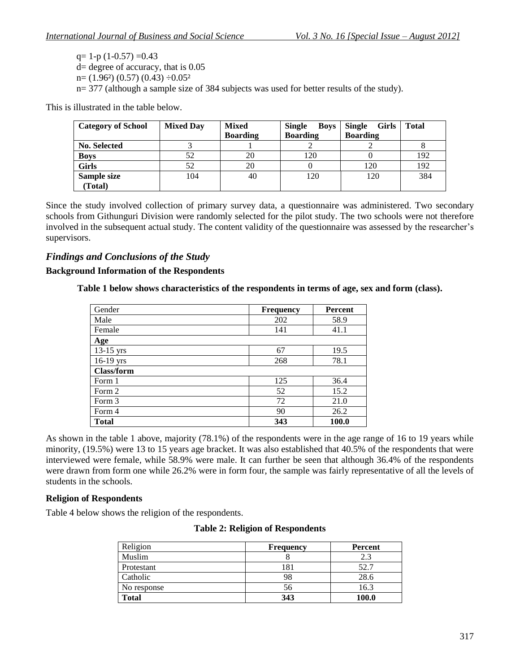$q= 1-p$  (1-0.57) =0.43  $\dot{d}$ = degree of accuracy, that is 0.05  $n = (1.96<sup>2</sup>) (0.57) (0.43) \div 0.05<sup>2</sup>$ n= 377 (although a sample size of 384 subjects was used for better results of the study).

This is illustrated in the table below.

| <b>Category of School</b> | <b>Mixed Day</b> | <b>Mixed</b>    | <b>Single</b><br><b>Boys</b> | Girls<br><b>Single</b> | <b>Total</b> |
|---------------------------|------------------|-----------------|------------------------------|------------------------|--------------|
|                           |                  | <b>Boarding</b> | <b>Boarding</b>              | <b>Boarding</b>        |              |
| <b>No. Selected</b>       |                  |                 |                              |                        |              |
| <b>Boys</b>               | 52               | 20              | 120                          |                        | 192          |
| <b>Girls</b>              | 52               | 20              |                              | 120                    | 192          |
| Sample size               | 104              | 40              | 120                          | 120                    | 384          |
| (Total)                   |                  |                 |                              |                        |              |

Since the study involved collection of primary survey data, a questionnaire was administered. Two secondary schools from Githunguri Division were randomly selected for the pilot study. The two schools were not therefore involved in the subsequent actual study. The content validity of the questionnaire was assessed by the researcher's supervisors.

## *Findings and Conclusions of the Study*

#### **Background Information of the Respondents**

**Table 1 below shows characteristics of the respondents in terms of age, sex and form (class).**

| Gender            | <b>Frequency</b> | <b>Percent</b> |
|-------------------|------------------|----------------|
| Male              | 202              | 58.9           |
| Female            | 141              | 41.1           |
| Age               |                  |                |
| $13-15$ yrs       | 67               | 19.5           |
| $16-19$ yrs       | 268              | 78.1           |
| <b>Class/form</b> |                  |                |
| Form 1            | 125              | 36.4           |
| Form 2            | 52               | 15.2           |
| Form 3            | 72               | 21.0           |
| Form 4            | 90               | 26.2           |
| <b>Total</b>      | 343              | 100.0          |

As shown in the table 1 above, majority (78.1%) of the respondents were in the age range of 16 to 19 years while minority, (19.5%) were 13 to 15 years age bracket. It was also established that 40.5% of the respondents that were interviewed were female, while 58.9% were male. It can further be seen that although 36.4% of the respondents were drawn from form one while 26.2% were in form four, the sample was fairly representative of all the levels of students in the schools.

#### **Religion of Respondents**

Table 4 below shows the religion of the respondents.

|  | <b>Table 2: Religion of Respondents</b> |  |  |
|--|-----------------------------------------|--|--|
|--|-----------------------------------------|--|--|

| Religion     | <b>Frequency</b> | Percent |
|--------------|------------------|---------|
| Muslim       |                  | 2.3     |
| Protestant   | 181              | 52.7    |
| Catholic     | 98               | 28.6    |
| No response  | 56               | 16.3    |
| <b>Total</b> | 343              | 100.0   |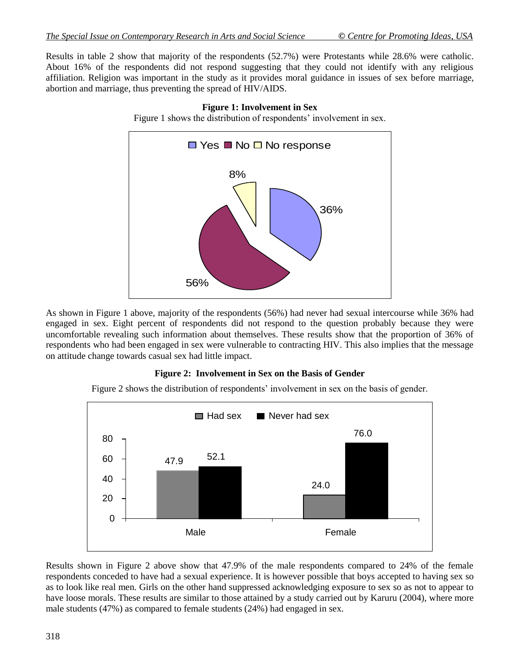Results in table 2 show that majority of the respondents (52.7%) were Protestants while 28.6% were catholic. About 16% of the respondents did not respond suggesting that they could not identify with any religious affiliation. Religion was important in the study as it provides moral guidance in issues of sex before marriage, abortion and marriage, thus preventing the spread of HIV/AIDS.

**Figure 1: Involvement in Sex**



As shown in Figure 1 above, majority of the respondents (56%) had never had sexual intercourse while 36% had engaged in sex. Eight percent of respondents did not respond to the question probably because they were uncomfortable revealing such information about themselves. These results show that the proportion of 36% of respondents who had been engaged in sex were vulnerable to contracting HIV. This also implies that the message on attitude change towards casual sex had little impact.

## **Figure 2: Involvement in Sex on the Basis of Gender**

Figure 2 shows the distribution of respondents' involvement in sex on the basis of gender.



Results shown in Figure 2 above show that 47.9% of the male respondents compared to 24% of the female respondents conceded to have had a sexual experience. It is however possible that boys accepted to having sex so as to look like real men. Girls on the other hand suppressed acknowledging exposure to sex so as not to appear to have loose morals. These results are similar to those attained by a study carried out by Karuru (2004), where more male students (47%) as compared to female students (24%) had engaged in sex.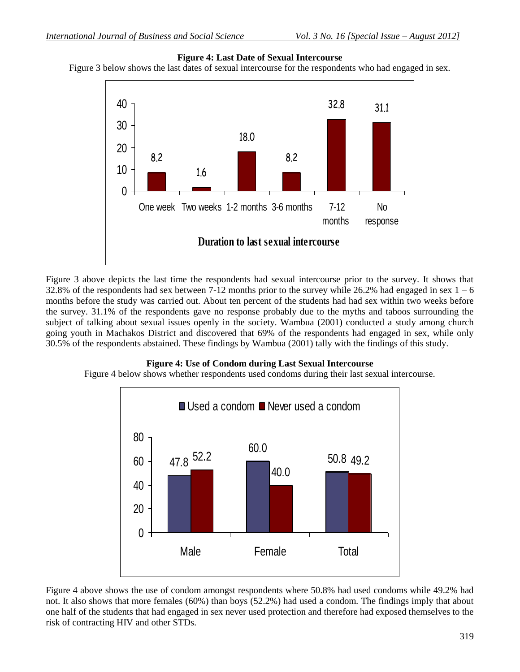#### **Figure 4: Last Date of Sexual Intercourse**

Figure 3 below shows the last dates of sexual intercourse for the respondents who had engaged in sex.



Figure 3 above depicts the last time the respondents had sexual intercourse prior to the survey. It shows that 32.8% of the respondents had sex between 7-12 months prior to the survey while 26.2% had engaged in sex  $1 - 6$ months before the study was carried out. About ten percent of the students had had sex within two weeks before the survey. 31.1% of the respondents gave no response probably due to the myths and taboos surrounding the subject of talking about sexual issues openly in the society. Wambua (2001) conducted a study among church going youth in Machakos District and discovered that 69% of the respondents had engaged in sex, while only 30.5% of the respondents abstained. These findings by Wambua (2001) tally with the findings of this study.

#### **Figure 4: Use of Condom during Last Sexual Intercourse**

Figure 4 below shows whether respondents used condoms during their last sexual intercourse.



Figure 4 above shows the use of condom amongst respondents where 50.8% had used condoms while 49.2% had not. It also shows that more females (60%) than boys (52.2%) had used a condom. The findings imply that about one half of the students that had engaged in sex never used protection and therefore had exposed themselves to the risk of contracting HIV and other STDs.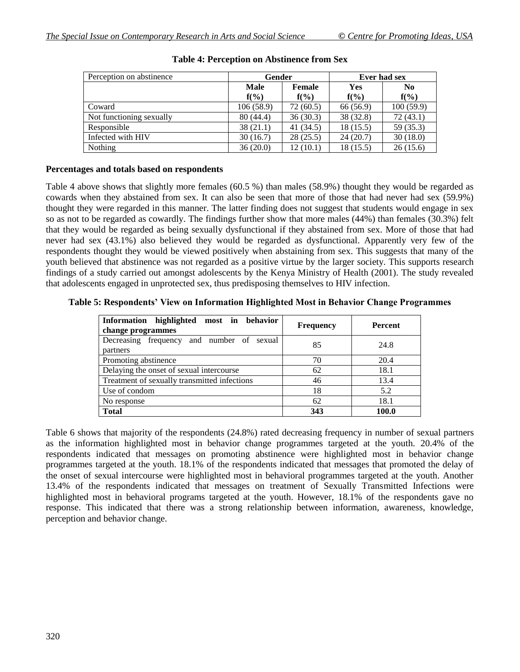| Perception on abstinence | Gender     |           | Ever had sex |                |
|--------------------------|------------|-----------|--------------|----------------|
|                          | Male       | Female    | Yes          | N <sub>0</sub> |
|                          | $f(\%)$    | $f(\%)$   | $f(\%)$      | $f(\%)$        |
| Coward                   | 106 (58.9) | 72(60.5)  | 66 (56.9)    | 100(59.9)      |
| Not functioning sexually | 80(44.4)   | 36(30.3)  | 38 (32.8)    | 72(43.1)       |
| Responsible              | 38(21.1)   | 41 (34.5) | 18 (15.5)    | 59 (35.3)      |
| Infected with HIV        | 30(16.7)   | 28(25.5)  | 24(20.7)     | 30(18.0)       |
| <b>Nothing</b>           | 36(20.0)   | 12 (10.1) | 18 (15.5)    | 26(15.6)       |

#### **Table 4: Perception on Abstinence from Sex**

#### **Percentages and totals based on respondents**

Table 4 above shows that slightly more females (60.5 %) than males (58.9%) thought they would be regarded as cowards when they abstained from sex. It can also be seen that more of those that had never had sex (59.9%) thought they were regarded in this manner. The latter finding does not suggest that students would engage in sex so as not to be regarded as cowardly. The findings further show that more males (44%) than females (30.3%) felt that they would be regarded as being sexually dysfunctional if they abstained from sex. More of those that had never had sex (43.1%) also believed they would be regarded as dysfunctional. Apparently very few of the respondents thought they would be viewed positively when abstaining from sex. This suggests that many of the youth believed that abstinence was not regarded as a positive virtue by the larger society. This supports research findings of a study carried out amongst adolescents by the Kenya Ministry of Health (2001). The study revealed that adolescents engaged in unprotected sex, thus predisposing themselves to HIV infection.

#### **Table 5: Respondents' View on Information Highlighted Most in Behavior Change Programmes**

| Information highlighted most in behavior     | <b>Frequency</b> | <b>Percent</b> |
|----------------------------------------------|------------------|----------------|
| change programmes                            |                  |                |
| Decreasing frequency and number of sexual    | 85               | 24.8           |
| partners                                     |                  |                |
| Promoting abstinence                         | 70               | 20.4           |
| Delaying the onset of sexual intercourse     | 62               | 18.1           |
| Treatment of sexually transmitted infections | 46               | 13.4           |
| Use of condom                                | 18               | 5.2            |
| No response                                  | 62               | 18.1           |
| <b>Total</b>                                 | 343              | 100.0          |

Table 6 shows that majority of the respondents (24.8%) rated decreasing frequency in number of sexual partners as the information highlighted most in behavior change programmes targeted at the youth. 20.4% of the respondents indicated that messages on promoting abstinence were highlighted most in behavior change programmes targeted at the youth. 18.1% of the respondents indicated that messages that promoted the delay of the onset of sexual intercourse were highlighted most in behavioral programmes targeted at the youth. Another 13.4% of the respondents indicated that messages on treatment of Sexually Transmitted Infections were highlighted most in behavioral programs targeted at the youth. However, 18.1% of the respondents gave no response. This indicated that there was a strong relationship between information, awareness, knowledge, perception and behavior change.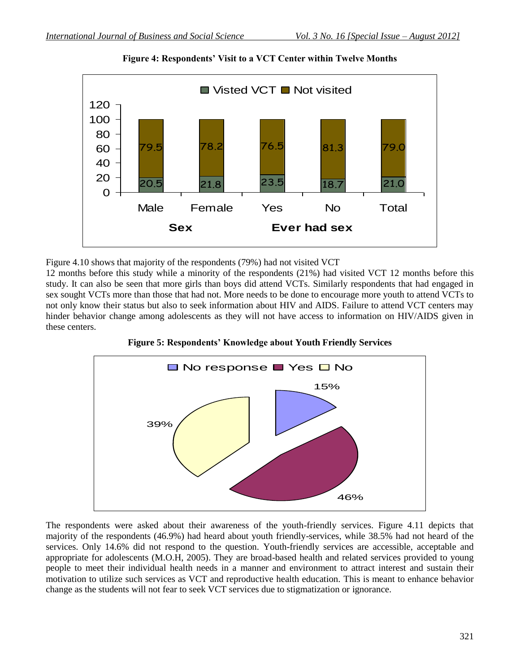

**Figure 4: Respondents' Visit to a VCT Center within Twelve Months**

Figure 4.10 shows that majority of the respondents (79%) had not visited VCT

12 months before this study while a minority of the respondents (21%) had visited VCT 12 months before this study. It can also be seen that more girls than boys did attend VCTs. Similarly respondents that had engaged in sex sought VCTs more than those that had not. More needs to be done to encourage more youth to attend VCTs to not only know their status but also to seek information about HIV and AIDS. Failure to attend VCT centers may hinder behavior change among adolescents as they will not have access to information on HIV/AIDS given in these centers.





The respondents were asked about their awareness of the youth-friendly services. Figure 4.11 depicts that majority of the respondents (46.9%) had heard about youth friendly-services, while 38.5% had not heard of the services. Only 14.6% did not respond to the question. Youth-friendly services are accessible, acceptable and appropriate for adolescents (M.O.H, 2005). They are broad-based health and related services provided to young people to meet their individual health needs in a manner and environment to attract interest and sustain their motivation to utilize such services as VCT and reproductive health education. This is meant to enhance behavior change as the students will not fear to seek VCT services due to stigmatization or ignorance.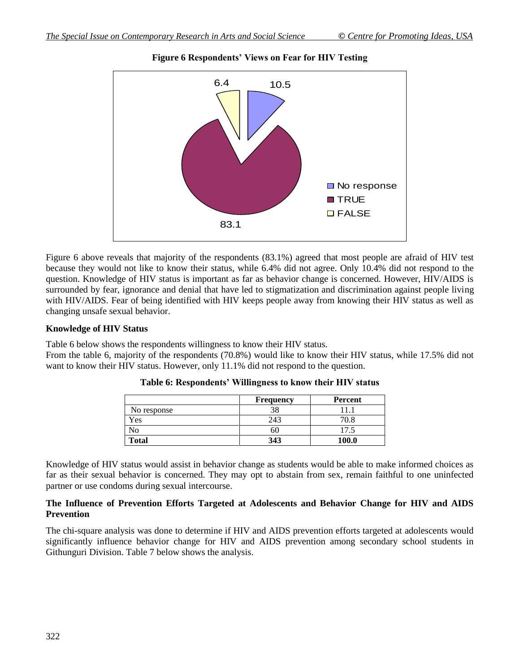

## **Figure 6 Respondents' Views on Fear for HIV Testing**

Figure 6 above reveals that majority of the respondents (83.1%) agreed that most people are afraid of HIV test because they would not like to know their status, while 6.4% did not agree. Only 10.4% did not respond to the question. Knowledge of HIV status is important as far as behavior change is concerned. However, HIV/AIDS is surrounded by fear, ignorance and denial that have led to stigmatization and discrimination against people living with HIV/AIDS. Fear of being identified with HIV keeps people away from knowing their HIV status as well as changing unsafe sexual behavior.

#### **Knowledge of HIV Status**

Table 6 below shows the respondents willingness to know their HIV status.

From the table 6, majority of the respondents (70.8%) would like to know their HIV status, while 17.5% did not want to know their HIV status. However, only 11.1% did not respond to the question.

|              | <b>Frequency</b> | Percent |
|--------------|------------------|---------|
| No response  |                  |         |
| Yes          | 243              | 70.8    |
| No           | 60               | 17.5    |
| <b>Total</b> | 343              | 100.0   |

| Table 6: Respondents' Willingness to know their HIV status |  |  |  |
|------------------------------------------------------------|--|--|--|
|------------------------------------------------------------|--|--|--|

Knowledge of HIV status would assist in behavior change as students would be able to make informed choices as far as their sexual behavior is concerned. They may opt to abstain from sex, remain faithful to one uninfected partner or use condoms during sexual intercourse.

#### **The Influence of Prevention Efforts Targeted at Adolescents and Behavior Change for HIV and AIDS Prevention**

The chi-square analysis was done to determine if HIV and AIDS prevention efforts targeted at adolescents would significantly influence behavior change for HIV and AIDS prevention among secondary school students in Githunguri Division. Table 7 below shows the analysis.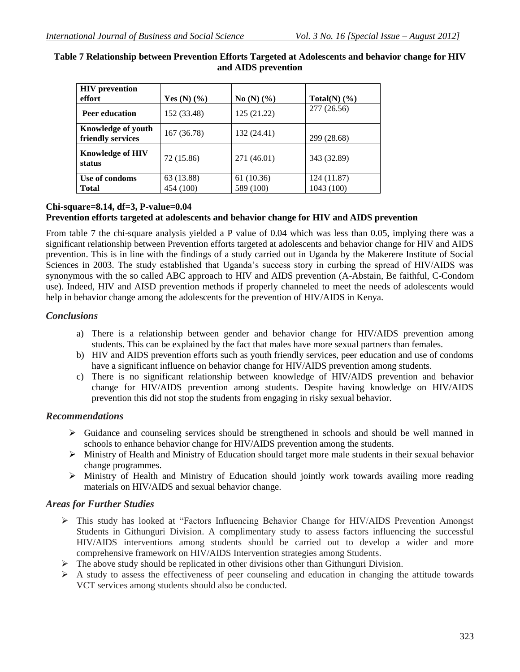| <b>HIV</b> prevention<br>effort                | Yes $(N)$ $(\%)$ | No $(N)$ $(\frac{9}{6})$ | Total(N) $(%$ |
|------------------------------------------------|------------------|--------------------------|---------------|
| Peer education                                 | 152 (33.48)      | 125 (21.22)              | 277 (26.56)   |
| <b>Knowledge of youth</b><br>friendly services | 167 (36.78)      | 132 (24.41)              | 299 (28.68)   |
| <b>Knowledge of HIV</b><br>status              | 72 (15.86)       | 271 (46.01)              | 343 (32.89)   |
| Use of condoms                                 | 63 (13.88)       | 61(10.36)                | 124 (11.87)   |
| <b>Total</b>                                   | 454 (100)        | 589 (100)                | 1043 (100)    |

**Table 7 Relationship between Prevention Efforts Targeted at Adolescents and behavior change for HIV and AIDS prevention**

## **Chi-square=8.14, df=3, P-value=0.04**

#### **Prevention efforts targeted at adolescents and behavior change for HIV and AIDS prevention**

From table 7 the chi-square analysis yielded a P value of 0.04 which was less than 0.05, implying there was a significant relationship between Prevention efforts targeted at adolescents and behavior change for HIV and AIDS prevention. This is in line with the findings of a study carried out in Uganda by the Makerere Institute of Social Sciences in 2003. The study established that Uganda's success story in curbing the spread of HIV/AIDS was synonymous with the so called ABC approach to HIV and AIDS prevention (A-Abstain, Be faithful, C-Condom use). Indeed, HIV and AISD prevention methods if properly channeled to meet the needs of adolescents would help in behavior change among the adolescents for the prevention of HIV/AIDS in Kenya.

#### *Conclusions*

- a) There is a relationship between gender and behavior change for HIV/AIDS prevention among students. This can be explained by the fact that males have more sexual partners than females.
- b) HIV and AIDS prevention efforts such as youth friendly services, peer education and use of condoms have a significant influence on behavior change for HIV/AIDS prevention among students.
- c) There is no significant relationship between knowledge of HIV/AIDS prevention and behavior change for HIV/AIDS prevention among students. Despite having knowledge on HIV/AIDS prevention this did not stop the students from engaging in risky sexual behavior.

## *Recommendations*

- $\triangleright$  Guidance and counseling services should be strengthened in schools and should be well manned in schools to enhance behavior change for HIV/AIDS prevention among the students.
- Ministry of Health and Ministry of Education should target more male students in their sexual behavior change programmes.
- Ministry of Health and Ministry of Education should jointly work towards availing more reading materials on HIV/AIDS and sexual behavior change.

## *Areas for Further Studies*

- This study has looked at "Factors Influencing Behavior Change for HIV/AIDS Prevention Amongst Students in Githunguri Division. A complimentary study to assess factors influencing the successful HIV/AIDS interventions among students should be carried out to develop a wider and more comprehensive framework on HIV/AIDS Intervention strategies among Students.
- $\triangleright$  The above study should be replicated in other divisions other than Githunguri Division.
- $\triangleright$  A study to assess the effectiveness of peer counseling and education in changing the attitude towards VCT services among students should also be conducted.